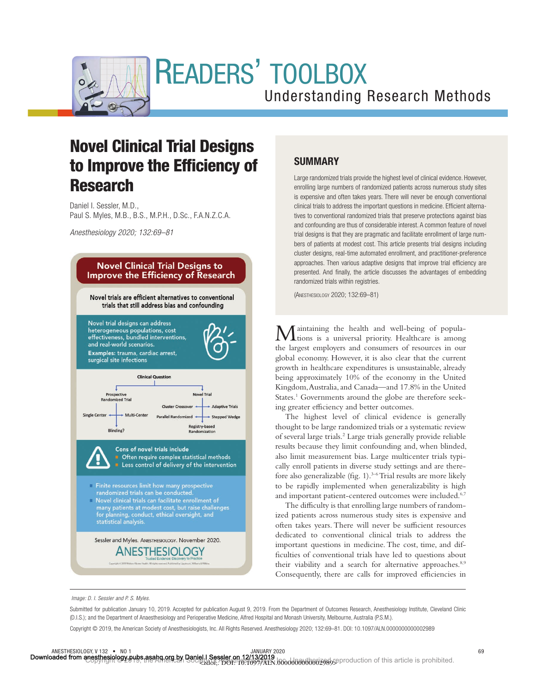

# READERS' TOOLBOX

# Understanding Research Methods

# Novel Clinical Trial Designs to Improve the Efficiency of Research

Daniel I. Sessler, M.D., Paul S. Myles, M.B., B.S., M.P.H., D.Sc., F.A.N.Z.C.A.

*Anesthesiology 2020; 132:69–81*



## SUMMARY

Large randomized trials provide the highest level of clinical evidence. However, enrolling large numbers of randomized patients across numerous study sites is expensive and often takes years. There will never be enough conventional clinical trials to address the important questions in medicine. Efficient alternatives to conventional randomized trials that preserve protections against bias and confounding are thus of considerable interest. A common feature of novel trial designs is that they are pragmatic and facilitate enrollment of large numbers of patients at modest cost. This article presents trial designs including cluster designs, real-time automated enrollment, and practitioner-preference approaches. Then various adaptive designs that improve trial efficiency are presented. And finally, the article discusses the advantages of embedding randomized trials within registries.

(ANESTHESIOLOGY 2020; 132:69–81)

Maintaining the health and well-being of popula-tions is a universal priority. Healthcare is among the largest employers and consumers of resources in our global economy. However, it is also clear that the current growth in healthcare expenditures is unsustainable, already being approximately 10% of the economy in the United Kingdom, Australia, and Canada—and 17.8% in the United States.<sup>1</sup> Governments around the globe are therefore seeking greater efficiency and better outcomes.

The highest level of clinical evidence is generally thought to be large randomized trials or a systematic review of several large trials.2 Large trials generally provide reliable results because they limit confounding and, when blinded, also limit measurement bias. Large multicenter trials typically enroll patients in diverse study settings and are therefore also generalizable (fig. 1).<sup>3-6</sup> Trial results are more likely to be rapidly implemented when generalizability is high and important patient-centered outcomes were included.<sup>6,7</sup>

The difficulty is that enrolling large numbers of randomized patients across numerous study sites is expensive and often takes years. There will never be sufficient resources dedicated to conventional clinical trials to address the important questions in medicine. The cost, time, and dif ficulties of conventional trials have led to questions about their viability and a search for alternative approaches.<sup>8,9</sup> Consequently, there are calls for improved efficiencies in

*Image: D. I. Sessler and P. S. Myles.*

Submitted for publication January 10, 2019. Accepted for publication August 9, 2019. From the Department of Outcomes Research, Anesthesiology Institute, Cleveland Clinic (D.I.S.); and the Department of Anaesthesiology and Perioperative Medicine, Alfred Hospital and Monash University, Melbourne, Australia (P.S.M.).

Copyright © 2019, the American Society of Anesthesiologists, Inc. All Rights Reserved. Anesthesiology 2020; 132:69–81. DOI: 10.1097/ALN.0000000000002989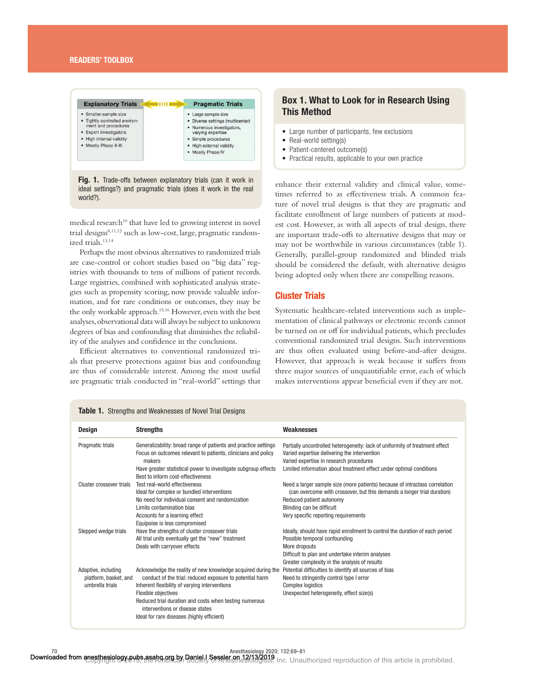

Fig. 1. Trade-offs between explanatory trials (can it work in ideal settings?) and pragmatic trials (does it work in the real world?).

medical research<sup>10</sup> that have led to growing interest in novel trial designs<sup>8,11,12</sup> such as low-cost, large, pragmatic randomized trials.13,14

Perhaps the most obvious alternatives to randomized trials are case-control or cohort studies based on "big data" registries with thousands to tens of millions of patient records. Large registries, combined with sophisticated analysis strategies such as propensity scoring, now provide valuable information, and for rare conditions or outcomes, they may be the only workable approach.15,16 However, even with the best analyses, observational data will always be subject to unknown degrees of bias and confounding that diminishes the reliability of the analyses and confidence in the conclusions.

Efficient alternatives to conventional randomized trials that preserve protections against bias and confounding are thus of considerable interest. Among the most useful are pragmatic trials conducted in "real-world" settings that

### Box 1. What to Look for in Research Using This Method

- Large number of participants, few exclusions
- Real-world setting(s)
- Patient-centered outcome(s)
- Practical results, applicable to your own practice

enhance their external validity and clinical value, sometimes referred to as effectiveness trials. A common feature of novel trial designs is that they are pragmatic and facilitate enrollment of large numbers of patients at modest cost. However, as with all aspects of trial design, there are important trade-offs to alternative designs that may or may not be worthwhile in various circumstances (table 1). Generally, parallel-group randomized and blinded trials should be considered the default, with alternative designs being adopted only when there are compelling reasons.

#### Cluster Trials

Systematic healthcare-related interventions such as implementation of clinical pathways or electronic records cannot be turned on or off for individual patients, which precludes conventional randomized trial designs. Such interventions are thus often evaluated using before-and-after designs. However, that approach is weak because it suffers from three major sources of unquantifiable error, each of which makes interventions appear beneficial even if they are not.

| Design                                   | <b>Strengths</b>                                                                                    | Weaknesses                                                                   |
|------------------------------------------|-----------------------------------------------------------------------------------------------------|------------------------------------------------------------------------------|
| Pragmatic trials                         | Generalizability: broad range of patients and practice settings                                     | Partially uncontrolled heterogeneity: lack of uniformity of treatment effect |
|                                          | Focus on outcomes relevant to patients, clinicians and policy                                       | Varied expertise delivering the intervention                                 |
|                                          | makers                                                                                              | Varied expertise in research procedures                                      |
|                                          | Have greater statistical power to investigate subgroup effects<br>Best to inform cost-effectiveness | Limited information about treatment effect under optimal conditions          |
| Cluster crossover trials                 | Test real-world effectiveness                                                                       | Need a larger sample size (more patients) because of intraclass correlation  |
|                                          | Ideal for complex or bundled interventions                                                          | (can overcome with crossover, but this demands a longer trial duration)      |
|                                          | No need for individual consent and randomization                                                    | Reduced patient autonomy                                                     |
|                                          | Limits contamination bias                                                                           | Blinding can be difficult                                                    |
|                                          | Accounts for a learning effect                                                                      | Very specific reporting requirements                                         |
|                                          | Equipoise is less compromised                                                                       |                                                                              |
| Stepped wedge trials                     | Have the strengths of cluster crossover trials                                                      | Ideally, should have rapid enrollment to control the duration of each period |
|                                          | All trial units eventually get the "new" treatment                                                  | Possible temporal confounding                                                |
|                                          | Deals with carryover effects                                                                        | More dropouts                                                                |
|                                          |                                                                                                     | Difficult to plan and undertake interim analyses                             |
|                                          |                                                                                                     | Greater complexity in the analysis of results                                |
| Adaptive, including                      | Acknowledge the reality of new knowledge acquired during the                                        | Potential difficulties to identify all sources of bias                       |
| platform, basket, and<br>umbrella trials | conduct of the trial: reduced exposure to potential harm                                            | Need to stringently control type I error                                     |
|                                          | Inherent flexibility of varying interventions                                                       | <b>Complex logistics</b>                                                     |
|                                          | Flexible objectives                                                                                 | Unexpected heterogeneity, effect size(s)                                     |
|                                          | Reduced trial duration and costs when testing numerous<br>interventions or disease states           |                                                                              |
|                                          | Ideal for rare diseases (highly efficient)                                                          |                                                                              |

#### **Table 1.** Strengths and Weaknesses of Novel Trial Designs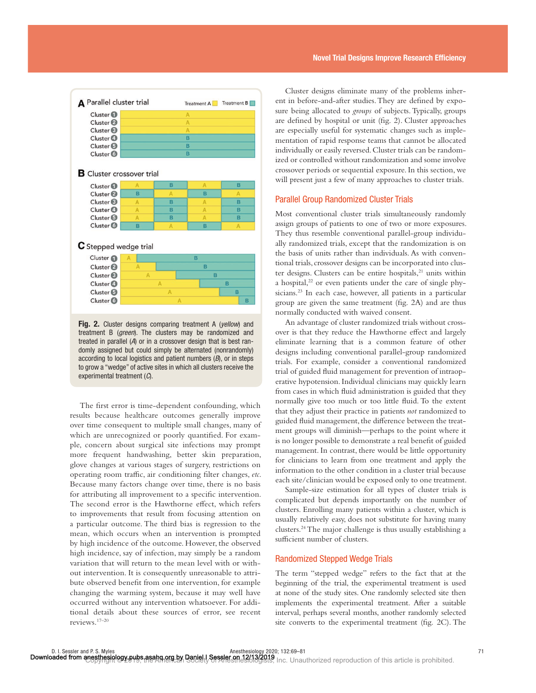| <b>A</b> Parallel cluster trial                          |        |   | Treatment A | Treatment <b>B</b> |  |
|----------------------------------------------------------|--------|---|-------------|--------------------|--|
| Cluster <sup>1</sup>                                     |        |   | A           |                    |  |
| Cluster <sup>2</sup>                                     |        |   | A           |                    |  |
| Cluster <sup>®</sup>                                     |        |   | Α           |                    |  |
| Cluster <b>O</b>                                         |        |   | Ŕ           |                    |  |
| Cluster <sup>6</sup>                                     | B      |   |             |                    |  |
| Cluster <b>6</b>                                         | B      |   |             |                    |  |
| <b>B</b> Cluster crossover trial<br>Cluster <sup>1</sup> | Α      | B | A           | B                  |  |
| Cluster <sup>2</sup>                                     | B      | A | B           | A                  |  |
| Cluster <sup>®</sup>                                     | Α      | B | A           | в                  |  |
| Cluster <sup>O</sup>                                     | A      | B | A           | в                  |  |
| Cluster <sup>6</sup>                                     | A      | B | A           | B                  |  |
| Cluster <b>6</b>                                         | в      | A | B           | A                  |  |
| C Stepped wedge trial                                    |        |   |             |                    |  |
| Cluster <sup>1</sup>                                     | B<br>A |   |             |                    |  |
|                                                          | B<br>Α |   |             |                    |  |
| Cluster <sup>2</sup>                                     |        |   |             |                    |  |
| Cluster <sup>®</sup>                                     | A      |   | B           |                    |  |
| Cluster <sup>4</sup>                                     |        | A |             | B                  |  |
| Cluster <sup>6</sup>                                     |        | A |             | в                  |  |

Fig. 2. Cluster designs comparing treatment A (*yellow*) and treatment B (*green*). The clusters may be randomized and treated in parallel (*A*) or in a crossover design that is best randomly assigned but could simply be alternated (nonrandomly) according to local logistics and patient numbers (*B*), or in steps to grow a "wedge" of active sites in which all clusters receive the experimental treatment (*C*).

The first error is time-dependent confounding, which results because healthcare outcomes generally improve over time consequent to multiple small changes, many of which are unrecognized or poorly quantified. For example, concern about surgical site infections may prompt more frequent handwashing, better skin preparation, glove changes at various stages of surgery, restrictions on operating room traffic, air conditioning filter changes, etc. Because many factors change over time, there is no basis for attributing all improvement to a specific intervention. The second error is the Hawthorne effect, which refers to improvements that result from focusing attention on a particular outcome. The third bias is regression to the mean, which occurs when an intervention is prompted by high incidence of the outcome. However, the observed high incidence, say of infection, may simply be a random variation that will return to the mean level with or without intervention. It is consequently unreasonable to attribute observed benefit from one intervention, for example changing the warming system, because it may well have occurred without any intervention whatsoever. For additional details about these sources of error, see recent reviews.17–20

Cluster designs eliminate many of the problems inherent in before-and-after studies. They are defined by exposure being allocated to *groups* of subjects. Typically, groups are defined by hospital or unit (fig. 2). Cluster approaches are especially useful for systematic changes such as implementation of rapid response teams that cannot be allocated individually or easily reversed. Cluster trials can be randomized or controlled without randomization and some involve crossover periods or sequential exposure. In this section, we will present just a few of many approaches to cluster trials.

#### Parallel Group Randomized Cluster Trials

Most conventional cluster trials simultaneously randomly assign groups of patients to one of two or more exposures. They thus resemble conventional parallel-group individually randomized trials, except that the randomization is on the basis of units rather than individuals. As with conventional trials, crossover designs can be incorporated into cluster designs. Clusters can be entire hospitals,<sup>21</sup> units within a hospital, $22$  or even patients under the care of single physicians.<sup>23</sup> In each case, however, all patients in a particular group are given the same treatment (fig. 2A) and are thus normally conducted with waived consent.

An advantage of cluster randomized trials without crossover is that they reduce the Hawthorne effect and largely eliminate learning that is a common feature of other designs including conventional parallel-group randomized trials. For example, consider a conventional randomized trial of guided fluid management for prevention of intraoperative hypotension. Individual clinicians may quickly learn from cases in which fluid administration is guided that they normally give too much or too little fluid. To the extent that they adjust their practice in patients *not* randomized to guided fluid management, the difference between the treatment groups will diminish—perhaps to the point where it is no longer possible to demonstrate a real benefit of guided management. In contrast, there would be little opportunity for clinicians to learn from one treatment and apply the information to the other condition in a cluster trial because each site/clinician would be exposed only to one treatment.

Sample-size estimation for all types of cluster trials is complicated but depends importantly on the number of clusters. Enrolling many patients within a cluster, which is usually relatively easy, does not substitute for having many clusters.24 The major challenge is thus usually establishing a sufficient number of clusters.

#### Randomized Stepped Wedge Trials

The term "stepped wedge" refers to the fact that at the beginning of the trial, the experimental treatment is used at none of the study sites. One randomly selected site then implements the experimental treatment. After a suitable interval, perhaps several months, another randomly selected site converts to the experimental treatment (fig. 2C). The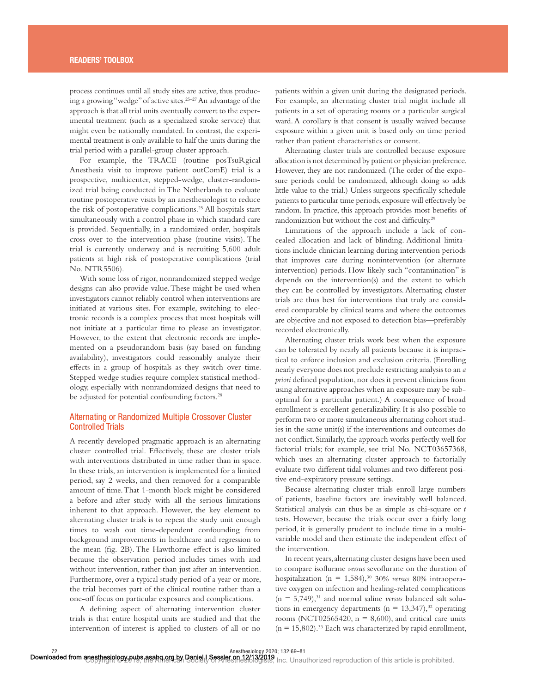process continues until all study sites are active, thus producing a growing "wedge" of active sites.25–27 An advantage of the approach is that all trial units eventually convert to the experimental treatment (such as a specialized stroke service) that might even be nationally mandated. In contrast, the experimental treatment is only available to half the units during the trial period with a parallel-group cluster approach.

For example, the TRACE (routine posTsuRgical Anesthesia visit to improve patient outComE) trial is a prospective, multicenter, stepped-wedge, cluster-randomized trial being conducted in The Netherlands to evaluate routine postoperative visits by an anesthesiologist to reduce the risk of postoperative complications.25 All hospitals start simultaneously with a control phase in which standard care is provided. Sequentially, in a randomized order, hospitals cross over to the intervention phase (routine visits). The trial is currently underway and is recruiting 5,600 adult patients at high risk of postoperative complications (trial No. NTR5506).

With some loss of rigor, nonrandomized stepped wedge designs can also provide value. These might be used when investigators cannot reliably control when interventions are initiated at various sites. For example, switching to electronic records is a complex process that most hospitals will not initiate at a particular time to please an investigator. However, to the extent that electronic records are implemented on a pseudorandom basis (say based on funding availability), investigators could reasonably analyze their effects in a group of hospitals as they switch over time. Stepped wedge studies require complex statistical methodology, especially with nonrandomized designs that need to be adjusted for potential confounding factors.<sup>28</sup>

#### Alternating or Randomized Multiple Crossover Cluster Controlled Trials

A recently developed pragmatic approach is an alternating cluster controlled trial. Effectively, these are cluster trials with interventions distributed in time rather than in space. In these trials, an intervention is implemented for a limited period, say 2 weeks, and then removed for a comparable amount of time. That 1-month block might be considered a before-and-after study with all the serious limitations inherent to that approach. However, the key element to alternating cluster trials is to repeat the study unit enough times to wash out time-dependent confounding from background improvements in healthcare and regression to the mean (fig. 2B). The Hawthorne effect is also limited because the observation period includes times with and without intervention, rather than just after an intervention. Furthermore, over a typical study period of a year or more, the trial becomes part of the clinical routine rather than a one-off focus on particular exposures and complications.

A defining aspect of alternating intervention cluster trials is that entire hospital units are studied and that the intervention of interest is applied to clusters of all or no

patients within a given unit during the designated periods. For example, an alternating cluster trial might include all patients in a set of operating rooms or a particular surgical ward. A corollary is that consent is usually waived because exposure within a given unit is based only on time period rather than patient characteristics or consent.

Alternating cluster trials are controlled because exposure allocation is not determined by patient or physician preference. However, they are not randomized. (The order of the exposure periods could be randomized, although doing so adds little value to the trial.) Unless surgeons specifically schedule patients to particular time periods, exposure will effectively be random. In practice, this approach provides most benefits of randomization but without the cost and difficulty.<sup>29</sup>

Limitations of the approach include a lack of concealed allocation and lack of blinding. Additional limitations include clinician learning during intervention periods that improves care during nonintervention (or alternate intervention) periods. How likely such "contamination" is depends on the intervention(s) and the extent to which they can be controlled by investigators. Alternating cluster trials are thus best for interventions that truly are considered comparable by clinical teams and where the outcomes are objective and not exposed to detection bias—preferably recorded electronically.

Alternating cluster trials work best when the exposure can be tolerated by nearly all patients because it is impractical to enforce inclusion and exclusion criteria. (Enrolling nearly everyone does not preclude restricting analysis to an *a priori* defined population, nor does it prevent clinicians from using alternative approaches when an exposure may be suboptimal for a particular patient.) A consequence of broad enrollment is excellent generalizability. It is also possible to perform two or more simultaneous alternating cohort studies in the same unit(s) if the interventions and outcomes do not conflict. Similarly, the approach works perfectly well for factorial trials; for example, see trial No. NCT03657368, which uses an alternating cluster approach to factorially evaluate two different tidal volumes and two different positive end-expiratory pressure settings.

Because alternating cluster trials enroll large numbers of patients, baseline factors are inevitably well balanced. Statistical analysis can thus be as simple as chi-square or *t* tests. However, because the trials occur over a fairly long period, it is generally prudent to include time in a multivariable model and then estimate the independent effect of the intervention.

In recent years, alternating cluster designs have been used to compare isoflurane *versus* sevoflurane on the duration of hospitalization ( $n = 1,584$ ),<sup>30</sup> 30% *versus* 80% intraoperative oxygen on infection and healing-related complications  $(n = 5,749)$ ,<sup>31</sup> and normal saline *versus* balanced salt solutions in emergency departments ( $n = 13,347$ ),<sup>32</sup> operating rooms (NCT02565420,  $n = 8,600$ ), and critical care units  $(n = 15,802)$ .<sup>33</sup> Each was characterized by rapid enrollment,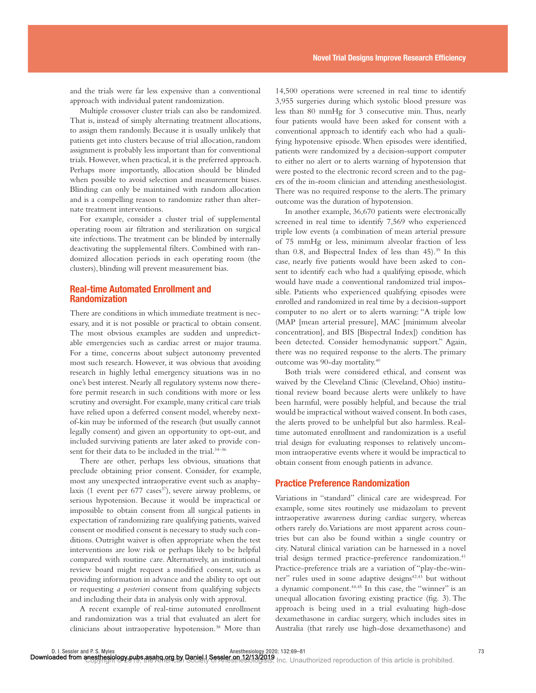and the trials were far less expensive than a conventional approach with individual patent randomization.

Multiple crossover cluster trials can also be randomized. That is, instead of simply alternating treatment allocations, to assign them randomly. Because it is usually unlikely that patients get into clusters because of trial allocation, random assignment is probably less important than for conventional trials. However, when practical, it is the preferred approach. Perhaps more importantly, allocation should be blinded when possible to avoid selection and measurement biases. Blinding can only be maintained with random allocation and is a compelling reason to randomize rather than alternate treatment interventions.

For example, consider a cluster trial of supplemental operating room air filtration and sterilization on surgical site infections. The treatment can be blinded by internally deactivating the supplemental filters. Combined with randomized allocation periods in each operating room (the clusters), blinding will prevent measurement bias.

#### Real-time Automated Enrollment and Randomization

There are conditions in which immediate treatment is necessary, and it is not possible or practical to obtain consent. The most obvious examples are sudden and unpredictable emergencies such as cardiac arrest or major trauma. For a time, concerns about subject autonomy prevented most such research. However, it was obvious that avoiding research in highly lethal emergency situations was in no one's best interest. Nearly all regulatory systems now therefore permit research in such conditions with more or less scrutiny and oversight. For example, many critical care trials have relied upon a deferred consent model, whereby nextof-kin may be informed of the research (but usually cannot legally consent) and given an opportunity to opt-out, and included surviving patients are later asked to provide consent for their data to be included in the trial.<sup>34-36</sup>

There are other, perhaps less obvious, situations that preclude obtaining prior consent. Consider, for example, most any unexpected intraoperative event such as anaphylaxis (1 event per  $677$  cases<sup>37</sup>), severe airway problems, or serious hypotension. Because it would be impractical or impossible to obtain consent from all surgical patients in expectation of randomizing rare qualifying patients, waived consent or modified consent is necessary to study such conditions. Outright waiver is often appropriate when the test interventions are low risk or perhaps likely to be helpful compared with routine care. Alternatively, an institutional review board might request a modified consent, such as providing information in advance and the ability to opt out or requesting *a posteriori* consent from qualifying subjects and including their data in analysis only with approval.

A recent example of real-time automated enrollment and randomization was a trial that evaluated an alert for clinicians about intraoperative hypotension.<sup>38</sup> More than

14,500 operations were screened in real time to identify 3,955 surgeries during which systolic blood pressure was less than 80 mmHg for 3 consecutive min. Thus, nearly four patients would have been asked for consent with a conventional approach to identify each who had a qualifying hypotensive episode. When episodes were identified, patients were randomized by a decision-support computer to either no alert or to alerts warning of hypotension that were posted to the electronic record screen and to the pagers of the in-room clinician and attending anesthesiologist. There was no required response to the alerts. The primary outcome was the duration of hypotension.

In another example, 36,670 patients were electronically screened in real time to identify 7,569 who experienced triple low events (a combination of mean arterial pressure of 75 mmHg or less, minimum alveolar fraction of less than  $0.8$ , and Bispectral Index of less than  $45$ ).<sup>39</sup> In this case, nearly five patients would have been asked to consent to identify each who had a qualifying episode, which would have made a conventional randomized trial impossible. Patients who experienced qualifying episodes were enrolled and randomized in real time by a decision-support computer to no alert or to alerts warning: "A triple low (MAP [mean arterial pressure], MAC [minimum alveolar concentration], and BIS [Bispectral Index]) condition has been detected. Consider hemodynamic support." Again, there was no required response to the alerts. The primary outcome was 90-day mortality.40

Both trials were considered ethical, and consent was waived by the Cleveland Clinic (Cleveland, Ohio) institutional review board because alerts were unlikely to have been harmful, were possibly helpful, and because the trial would be impractical without waived consent. In both cases, the alerts proved to be unhelpful but also harmless. Realtime automated enrollment and randomization is a useful trial design for evaluating responses to relatively uncommon intraoperative events where it would be impractical to obtain consent from enough patients in advance.

#### Practice Preference Randomization

Variations in "standard" clinical care are widespread. For example, some sites routinely use midazolam to prevent intraoperative awareness during cardiac surgery, whereas others rarely do. Variations are most apparent across countries but can also be found within a single country or city. Natural clinical variation can be harnessed in a novel trial design termed practice-preference randomization.<sup>41</sup> Practice-preference trials are a variation of "play-the-winner" rules used in some adaptive designs<sup>42,43</sup> but without a dynamic component.44,45 In this case, the "winner" is an unequal allocation favoring existing practice (fig. 3). The approach is being used in a trial evaluating high-dose dexamethasone in cardiac surgery, which includes sites in Australia (that rarely use high-dose dexamethasone) and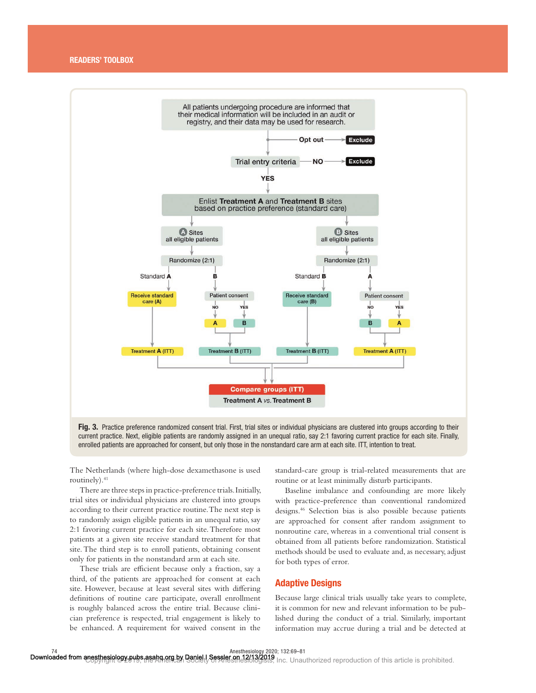

Fig. 3. Practice preference randomized consent trial. First, trial sites or individual physicians are clustered into groups according to their current practice. Next, eligible patients are randomly assigned in an unequal ratio, say 2:1 favoring current practice for each site. Finally, enrolled patients are approached for consent, but only those in the nonstandard care arm at each site. ITT, intention to treat.

The Netherlands (where high-dose dexamethasone is used routinely).<sup>41</sup>

There are three steps in practice-preference trials. Initially, trial sites or individual physicians are clustered into groups according to their current practice routine. The next step is to randomly assign eligible patients in an unequal ratio, say 2:1 favoring current practice for each site. Therefore most patients at a given site receive standard treatment for that site. The third step is to enroll patients, obtaining consent only for patients in the nonstandard arm at each site.

These trials are efficient because only a fraction, say a third, of the patients are approached for consent at each site. However, because at least several sites with differing definitions of routine care participate, overall enrollment is roughly balanced across the entire trial. Because clinician preference is respected, trial engagement is likely to be enhanced. A requirement for waived consent in the

standard-care group is trial-related measurements that are routine or at least minimally disturb participants.

Baseline imbalance and confounding are more likely with practice-preference than conventional randomized designs.46 Selection bias is also possible because patients are approached for consent after random assignment to nonroutine care, whereas in a conventional trial consent is obtained from all patients before randomization. Statistical methods should be used to evaluate and, as necessary, adjust for both types of error.

#### Adaptive Designs

Because large clinical trials usually take years to complete, it is common for new and relevant information to be published during the conduct of a trial. Similarly, important information may accrue during a trial and be detected at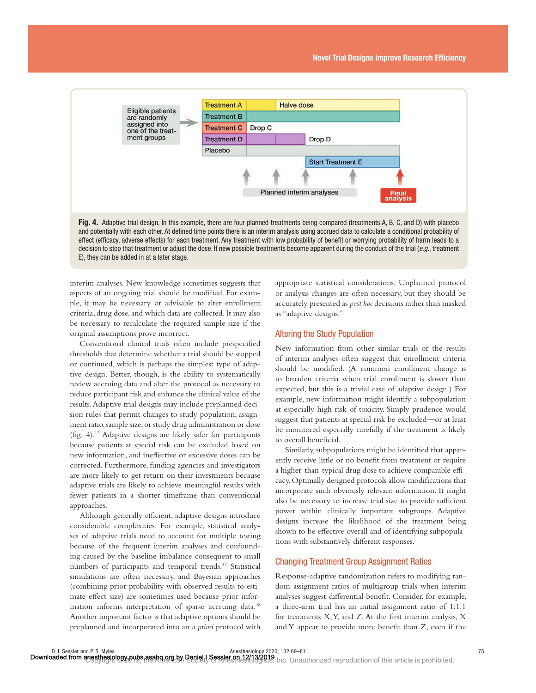

Fig. 4. Adaptive trial design. In this example, there are four planned treatments being compared (treatments A, B, C, and D) with placebo and potentially with each other. At defined time points there is an interim analysis using accrued data to calculate a conditional probability of effect (efficacy, adverse effects) for each treatment. Any treatment with low probability of benefit or worrying probability of harm leads to a decision to stop that treatment or adjust the dose. If new possible treatments become apparent during the conduct of the trial (*e.g.*, treatment E), they can be added in at a later stage.

interim analyses. New knowledge sometimes suggests that aspects of an ongoing trial should be modified. For example, it may be necessary or advisable to alter enrollment criteria, drug dose, and which data are collected. It may also be necessary to recalculate the required sample size if the original assumptions prove incorrect.

Conventional clinical trials often include prespecified thresholds that determine whether a trial should be stopped or continued, which is perhaps the simplest type of adaptive design. Better, though, is the ability to systematically review accruing data and alter the protocol as necessary to reduce participant risk and enhance the clinical value of the results. Adaptive trial designs may include preplanned decision rules that permit changes to study population, assignment ratio, sample size, or study drug administration or dose (fig. 4).<sup>12</sup> Adaptive designs are likely safer for participants because patients at special risk can be excluded based on new information, and ineffective or excessive doses can be corrected. Furthermore, funding agencies and investigators are more likely to get return on their investments because adaptive trials are likely to achieve meaningful results with fewer patients in a shorter timeframe than conventional approaches.

Although generally efficient, adaptive designs introduce considerable complexities. For example, statistical analyses of adaptive trials need to account for multiple testing because of the frequent interim analyses and confounding caused by the baseline imbalance consequent to small numbers of participants and temporal trends.<sup>47</sup> Statistical simulations are often necessary, and Bayesian approaches (combining prior probability with observed results to estimate effect size) are sometimes used because prior information informs interpretation of sparse accruing data.<sup>48</sup> Another important factor is that adaptive options should be preplanned and incorporated into an *a priori* protocol with

appropriate statistical considerations. Unplanned protocol or analysis changes are often necessary, but they should be accurately presented as *post hoc* decisions rather than masked as "adaptive designs."

#### Altering the Study Population

New information from other similar trials or the results of interim analyses often suggest that enrollment criteria should be modified. (A common enrollment change is to broaden criteria when trial enrollment is slower than expected, but this is a trivial case of adaptive design.) For example, new information might identify a subpopulation at especially high risk of toxicity. Simply prudence would suggest that patients at special risk be excluded—or at least be monitored especially carefully if the treatment is likely to overall beneficial.

Similarly, subpopulations might be identified that apparently receive little or no benefit from treatment or require a higher-than-typical drug dose to achieve comparable efficacy. Optimally designed protocols allow modifications that incorporate such obviously relevant information. It might also be necessary to increase trial size to provide sufficient power within clinically important subgroups. Adaptive designs increase the likelihood of the treatment being shown to be effective overall and of identifying subpopulations with substantively different responses.

#### Changing Treatment Group Assignment Ratios

Response-adaptive randomization refers to modifying random assignment ratios of multigroup trials when interim analyses suggest differential benefit. Consider, for example, a three-arm trial has an initial assignment ratio of 1:1:1 for treatments  $X, Y$ , and  $Z$ . At the first interim analysis,  $X$ and Y appear to provide more benefit than Z, even if the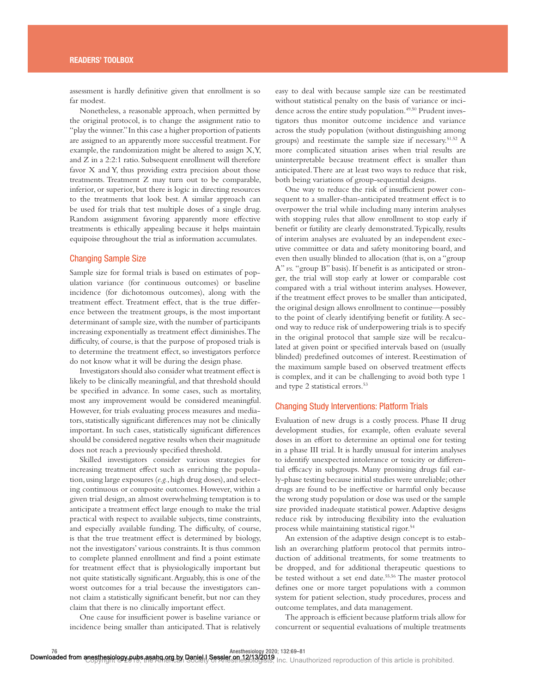assessment is hardly definitive given that enrollment is so far modest.

Nonetheless, a reasonable approach, when permitted by the original protocol, is to change the assignment ratio to "play the winner." In this case a higher proportion of patients are assigned to an apparently more successful treatment. For example, the randomization might be altered to assign X, Y, and Z in a 2:2:1 ratio. Subsequent enrollment will therefore favor X and Y, thus providing extra precision about those treatments. Treatment Z may turn out to be comparable, inferior, or superior, but there is logic in directing resources to the treatments that look best. A similar approach can be used for trials that test multiple doses of a single drug. Random assignment favoring apparently more effective treatments is ethically appealing because it helps maintain equipoise throughout the trial as information accumulates.

#### Changing Sample Size

Sample size for formal trials is based on estimates of population variance (for continuous outcomes) or baseline incidence (for dichotomous outcomes), along with the treatment effect. Treatment effect, that is the true difference between the treatment groups, is the most important determinant of sample size, with the number of participants increasing exponentially as treatment effect diminishes. The difficulty, of course, is that the purpose of proposed trials is to determine the treatment effect, so investigators perforce do not know what it will be during the design phase.

Investigators should also consider what treatment effect is likely to be clinically meaningful, and that threshold should be specified in advance. In some cases, such as mortality, most any improvement would be considered meaningful. However, for trials evaluating process measures and mediators, statistically significant differences may not be clinically important. In such cases, statistically significant differences should be considered negative results when their magnitude does not reach a previously specified threshold.

Skilled investigators consider various strategies for increasing treatment effect such as enriching the population, using large exposures (*e.g.*, high drug doses), and selecting continuous or composite outcomes. However, within a given trial design, an almost overwhelming temptation is to anticipate a treatment effect large enough to make the trial practical with respect to available subjects, time constraints, and especially available funding. The difficulty, of course, is that the true treatment effect is determined by biology, not the investigators' various constraints. It is thus common to complete planned enrollment and find a point estimate for treatment effect that is physiologically important but not quite statistically significant. Arguably, this is one of the worst outcomes for a trial because the investigators cannot claim a statistically significant benefit, but nor can they claim that there is no clinically important effect.

One cause for insufficient power is baseline variance or incidence being smaller than anticipated. That is relatively

easy to deal with because sample size can be reestimated without statistical penalty on the basis of variance or incidence across the entire study population.<sup>49,50</sup> Prudent investigators thus monitor outcome incidence and variance across the study population (without distinguishing among groups) and reestimate the sample size if necessary.51,52 A more complicated situation arises when trial results are uninterpretable because treatment effect is smaller than anticipated. There are at least two ways to reduce that risk, both being variations of group-sequential designs.

One way to reduce the risk of insufficient power consequent to a smaller-than-anticipated treatment effect is to overpower the trial while including many interim analyses with stopping rules that allow enrollment to stop early if benefit or futility are clearly demonstrated. Typically, results of interim analyses are evaluated by an independent executive committee or data and safety monitoring board, and even then usually blinded to allocation (that is, on a "group A" vs. "group B" basis). If benefit is as anticipated or stronger, the trial will stop early at lower or comparable cost compared with a trial without interim analyses. However, if the treatment effect proves to be smaller than anticipated, the original design allows enrollment to continue—possibly to the point of clearly identifying benefit or futility. A second way to reduce risk of underpowering trials is to specify in the original protocol that sample size will be recalculated at given point or specified intervals based on (usually blinded) predefined outcomes of interest. Reestimation of the maximum sample based on observed treatment effects is complex, and it can be challenging to avoid both type 1 and type 2 statistical errors.<sup>53</sup>

#### Changing Study Interventions: Platform Trials

Evaluation of new drugs is a costly process. Phase II drug development studies, for example, often evaluate several doses in an effort to determine an optimal one for testing in a phase III trial. It is hardly unusual for interim analyses to identify unexpected intolerance or toxicity or differential efficacy in subgroups. Many promising drugs fail early-phase testing because initial studies were unreliable; other drugs are found to be ineffective or harmful only because the wrong study population or dose was used or the sample size provided inadequate statistical power. Adaptive designs reduce risk by introducing flexibility into the evaluation process while maintaining statistical rigor.54

An extension of the adaptive design concept is to establish an overarching platform protocol that permits introduction of additional treatments, for some treatments to be dropped, and for additional therapeutic questions to be tested without a set end date.<sup>55,56</sup> The master protocol defines one or more target populations with a common system for patient selection, study procedures, process and outcome templates, and data management.

The approach is efficient because platform trials allow for concurrent or sequential evaluations of multiple treatments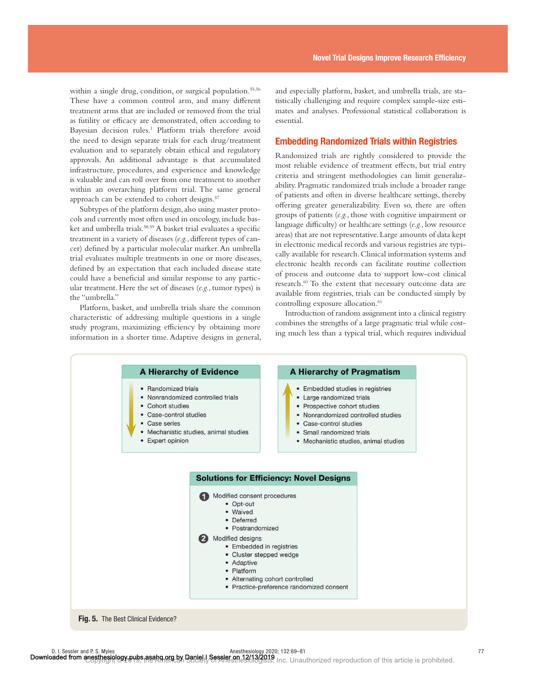within a single drug, condition, or surgical population.55,56 These have a common control arm, and many different treatment arms that are included or removed from the trial as futility or efficacy are demonstrated, often according to Bayesian decision rules.<sup>1</sup> Platform trials therefore avoid the need to design separate trials for each drug/treatment evaluation and to separately obtain ethical and regulatory approvals. An additional advantage is that accumulated infrastructure, procedures, and experience and knowledge is valuable and can roll over from one treatment to another within an overarching platform trial. The same general approach can be extended to cohort designs.<sup>57</sup>

Subtypes of the platform design, also using master protocols and currently most often used in oncology, include basket and umbrella trials.<sup>58,59</sup> A basket trial evaluates a specific treatment in a variety of diseases (e.g., different types of cancer) defined by a particular molecular marker. An umbrella trial evaluates multiple treatments in one or more diseases, defined by an expectation that each included disease state could have a beneficial and similar response to any particular treatment. Here the set of diseases (*e.g.*, tumor types) is the "umbrella."

Platform, basket, and umbrella trials share the common characteristic of addressing multiple questions in a single study program, maximizing efficiency by obtaining more information in a shorter time. Adaptive designs in general, and especially platform, basket, and umbrella trials, are statistically challenging and require complex sample-size estimates and analyses. Professional statistical collaboration is essential.

#### Embedding Randomized Trials within Registries

Randomized trials are rightly considered to provide the most reliable evidence of treatment effects, but trial entry criteria and stringent methodologies can limit generalizability. Pragmatic randomized trials include a broader range of patients and often in diverse healthcare settings, thereby offering greater generalizability. Even so, there are often groups of patients (*e.g.*, those with cognitive impairment or language difficulty) or healthcare settings (e.g., low resource areas) that are not representative. Large amounts of data kept in electronic medical records and various registries are typically available for research. Clinical information systems and electronic health records can facilitate routine collection of process and outcome data to support low-cost clinical research.60 To the extent that necessary outcome data are available from registries, trials can be conducted simply by controlling exposure allocation.<sup>61</sup>

Introduction of random assignment into a clinical registry combines the strengths of a large pragmatic trial while costing much less than a typical trial, which requires individual

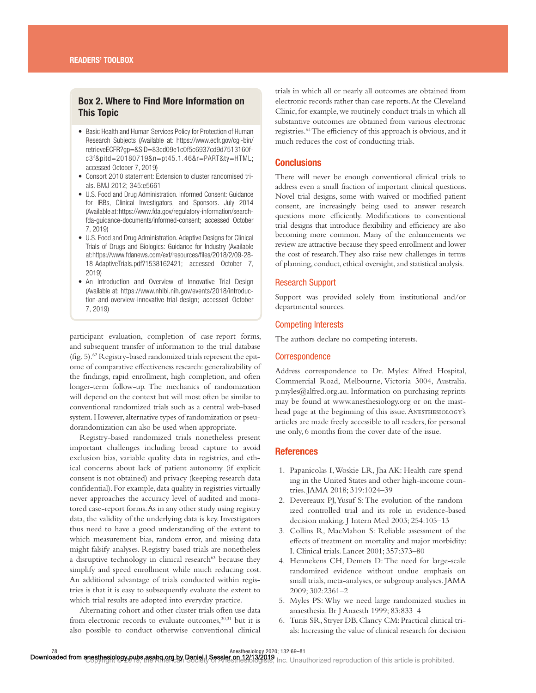## Box 2. Where to Find More Information on This Topic

- Basic Health and Human Services Policy for Protection of Human Research Subjects (Available at: https://www.ecfr.gov/cgi-bin/ retrieveECFR?gp=&SID=83cd09e1c0f5c6937cd9d7513160fc3f&pitd=20180719&n=pt45.1.46&r=PART&ty=HTML; accessed October 7, 2019)
- Consort 2010 statement: Extension to cluster randomised trials. BMJ 2012; 345:e5661
- U.S. Food and Drug Administration. Informed Consent: Guidance for IRBs, Clinical Investigators, and Sponsors. July 2014 (Available at: https://www.fda.gov/regulatory-information/searchfda-guidance-documents/informed-consent; accessed October 7, 2019)
- U.S. Food and Drug Administration. Adaptive Designs for Clinical Trials of Drugs and Biologics: Guidance for Industry (Available at: https://www.fdanews.com/ext/resources/files/2018/2/09-28- 18-AdaptiveTrials.pdf?1538162421; accessed October 7, 2019)
- An Introduction and Overview of Innovative Trial Design (Available at: https://www.nhlbi.nih.gov/events/2018/introduction-and-overview-innovative-trial-design; accessed October 7, 2019)

participant evaluation, completion of case-report forms, and subsequent transfer of information to the trial database (fig. 5).<sup>62</sup> Registry-based randomized trials represent the epitome of comparative effectiveness research: generalizability of the findings, rapid enrollment, high completion, and often longer-term follow-up. The mechanics of randomization will depend on the context but will most often be similar to conventional randomized trials such as a central web-based system. However, alternative types of randomization or pseudorandomization can also be used when appropriate.

Registry-based randomized trials nonetheless present important challenges including broad capture to avoid exclusion bias, variable quality data in registries, and ethical concerns about lack of patient autonomy (if explicit consent is not obtained) and privacy (keeping research data confidential). For example, data quality in registries virtually never approaches the accuracy level of audited and monitored case-report forms. As in any other study using registry data, the validity of the underlying data is key. Investigators thus need to have a good understanding of the extent to which measurement bias, random error, and missing data might falsify analyses. Registry-based trials are nonetheless a disruptive technology in clinical research<sup>63</sup> because they simplify and speed enrollment while much reducing cost. An additional advantage of trials conducted within registries is that it is easy to subsequently evaluate the extent to which trial results are adopted into everyday practice.

Alternating cohort and other cluster trials often use data from electronic records to evaluate outcomes,<sup>30,31</sup> but it is also possible to conduct otherwise conventional clinical trials in which all or nearly all outcomes are obtained from electronic records rather than case reports. At the Cleveland Clinic, for example, we routinely conduct trials in which all substantive outcomes are obtained from various electronic registries.<sup>64</sup> The efficiency of this approach is obvious, and it much reduces the cost of conducting trials.

#### **Conclusions**

There will never be enough conventional clinical trials to address even a small fraction of important clinical questions. Novel trial designs, some with waived or modified patient consent, are increasingly being used to answer research questions more efficiently. Modifications to conventional trial designs that introduce flexibility and efficiency are also becoming more common. Many of the enhancements we review are attractive because they speed enrollment and lower the cost of research. They also raise new challenges in terms of planning, conduct, ethical oversight, and statistical analysis.

#### Research Support

Support was provided solely from institutional and/or departmental sources.

#### Competing Interests

The authors declare no competing interests.

#### **Correspondence**

Address correspondence to Dr. Myles: Alfred Hospital, Commercial Road, Melbourne, Victoria 3004, Australia. [p.myles@alfred.org.au.](mailto:p.myles@alfred.org.au) Information on purchasing reprints may be found at <www.anesthesiology.org> or on the masthead page at the beginning of this issue. ANESTHESIOLOGY's articles are made freely accessible to all readers, for personal use only, 6 months from the cover date of the issue.

#### **References**

- 1. Papanicolas I, Woskie LR, Jha AK: Health care spending in the United States and other high-income countries. JAMA 2018; 319:1024–39
- 2. Devereaux PJ, Yusuf S: The evolution of the randomized controlled trial and its role in evidence-based decision making. J Intern Med 2003; 254:105–13
- 3. Collins R, MacMahon S: Reliable assessment of the effects of treatment on mortality and major morbidity: I. Clinical trials. Lancet 2001; 357:373–80
- 4. Hennekens CH, Demets D: The need for large-scale randomized evidence without undue emphasis on small trials, meta-analyses, or subgroup analyses. JAMA 2009; 302:2361–2
- 5. Myles PS: Why we need large randomized studies in anaesthesia. Br J Anaesth 1999; 83:833–4
- 6. Tunis SR, Stryer DB, Clancy CM: Practical clinical trials: Increasing the value of clinical research for decision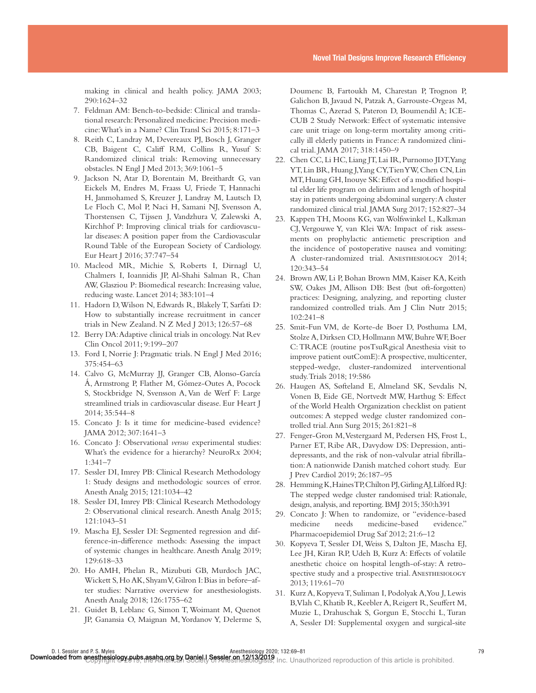making in clinical and health policy. JAMA 2003; 290:1624–32

- 7. Feldman AM: Bench-to-bedside: Clinical and translational research: Personalized medicine: Precision medicine: What's in a Name? Clin Transl Sci 2015; 8:171–3
- 8. Reith C, Landray M, Devereaux PJ, Bosch J, Granger CB, Baigent C, Califf RM, Collins R, Yusuf S: Randomized clinical trials: Removing unnecessary obstacles. N Engl J Med 2013; 369:1061–5
- 9. Jackson N, Atar D, Borentain M, Breithardt G, van Eickels M, Endres M, Fraass U, Friede T, Hannachi H, Janmohamed S, Kreuzer J, Landray M, Lautsch D, Le Floch C, Mol P, Naci H, Samani NJ, Svensson A, Thorstensen C, Tijssen J, Vandzhura V, Zalewski A, Kirchhof P: Improving clinical trials for cardiovascular diseases: A position paper from the Cardiovascular Round Table of the European Society of Cardiology. Eur Heart J 2016; 37:747–54
- 10. Macleod MR, Michie S, Roberts I, Dirnagl U, Chalmers I, Ioannidis JP, Al-Shahi Salman R, Chan AW, Glasziou P: Biomedical research: Increasing value, reducing waste. Lancet 2014; 383:101–4
- 11. Hadorn D, Wilson N, Edwards R, Blakely T, Sarfati D: How to substantially increase recruitment in cancer trials in New Zealand. N Z Med J 2013; 126:57–68
- 12. Berry DA: Adaptive clinical trials in oncology. Nat Rev Clin Oncol 2011; 9:199–207
- 13. Ford I, Norrie J: Pragmatic trials. N Engl J Med 2016; 375:454–63
- 14. Calvo G, McMurray JJ, Granger CB, Alonso-García Á, Armstrong P, Flather M, Gómez-Outes A, Pocock S, Stockbridge N, Svensson A, Van de Werf F: Large streamlined trials in cardiovascular disease. Eur Heart J 2014; 35:544–8
- 15. Concato J: Is it time for medicine-based evidence? JAMA 2012; 307:1641–3
- 16. Concato J: Observational *versus* experimental studies: What's the evidence for a hierarchy? NeuroRx 2004; 1:341–7
- 17. Sessler DI, Imrey PB: Clinical Research Methodology 1: Study designs and methodologic sources of error. Anesth Analg 2015; 121:1034–42
- 18. Sessler DI, Imrey PB: Clinical Research Methodology 2: Observational clinical research. Anesth Analg 2015; 121:1043–51
- 19. Mascha EJ, Sessler DI: Segmented regression and difference-in-difference methods: Assessing the impact of systemic changes in healthcare. Anesth Analg 2019; 129:618–33
- 20. Ho AMH, Phelan R, Mizubuti GB, Murdoch JAC, Wickett S, Ho AK, Shyam V, Gilron I: Bias in before–after studies: Narrative overview for anesthesiologists. Anesth Analg 2018; 126:1755–62
- 21. Guidet B, Leblanc G, Simon T, Woimant M, Quenot JP, Ganansia O, Maignan M, Yordanov Y, Delerme S,

Doumenc B, Fartoukh M, Charestan P, Trognon P, Galichon B, Javaud N, Patzak A, Garrouste-Orgeas M, Thomas C, Azerad S, Pateron D, Boumendil A; ICE-CUB 2 Study Network: Effect of systematic intensive care unit triage on long-term mortality among critically ill elderly patients in France: A randomized clinical trial. JAMA 2017; 318:1450–9

- 22. Chen CC, Li HC, Liang JT, Lai IR, Purnomo JDT, Yang YT, Lin BR, Huang J, Yang CY, Tien YW, Chen CN, Lin MT, Huang GH, Inouye SK: Effect of a modified hospital elder life program on delirium and length of hospital stay in patients undergoing abdominal surgery: A cluster randomized clinical trial. JAMA Surg 2017; 152:827–34
- 23. Kappen TH, Moons KG, van Wolfswinkel L, Kalkman CJ, Vergouwe Y, van Klei WA: Impact of risk assessments on prophylactic antiemetic prescription and the incidence of postoperative nausea and vomiting: A cluster-randomized trial. Anesthesiology 2014; 120:343–54
- 24. Brown AW, Li P, Bohan Brown MM, Kaiser KA, Keith SW, Oakes JM, Allison DB: Best (but oft-forgotten) practices: Designing, analyzing, and reporting cluster randomized controlled trials. Am J Clin Nutr 2015; 102:241–8
- 25. Smit-Fun VM, de Korte-de Boer D, Posthuma LM, Stolze A, Dirksen CD, Hollmann MW, Buhre WF, Boer C: TRACE (routine posTsuRgical Anesthesia visit to improve patient outComE): A prospective, multicenter, stepped-wedge, cluster-randomized interventional study. Trials 2018; 19:586
- 26. Haugen AS, Søfteland E, Almeland SK, Sevdalis N, Vonen B, Eide GE, Nortvedt MW, Harthug S: Effect of the World Health Organization checklist on patient outcomes: A stepped wedge cluster randomized controlled trial. Ann Surg 2015; 261:821–8
- 27. Fenger-Gron M, Vestergaard M, Pedersen HS, Frost L, Parner ET, Ribe AR, Davydow DS: Depression, antidepressants, and the risk of non-valvular atrial fibrillation: A nationwide Danish matched cohort study. Eur J Prev Cardiol 2019; 26:187–95
- 28. Hemming K, Haines TP, Chilton PJ, Girling AJ, Lilford RJ: The stepped wedge cluster randomised trial: Rationale, design, analysis, and reporting. BMJ 2015; 350:h391
- 29. Concato J: When to randomize, or "evidence-based medicine needs medicine-based evidence." Pharmacoepidemiol Drug Saf 2012; 21:6–12
- 30. Kopyeva T, Sessler DI, Weiss S, Dalton JE, Mascha EJ, Lee JH, Kiran RP, Udeh B, Kurz A: Effects of volatile anesthetic choice on hospital length-of-stay: A retrospective study and a prospective trial. ANESTHESIOLOGY 2013; 119:61–70
- 31. Kurz A, Kopyeva T, Suliman I, Podolyak A, You J, Lewis B, Vlah C, Khatib R, Keebler A, Reigert R, Seuffert M, Muzie L, Drahuschak S, Gorgun E, Stocchi L, Turan A, Sessler DI: Supplemental oxygen and surgical-site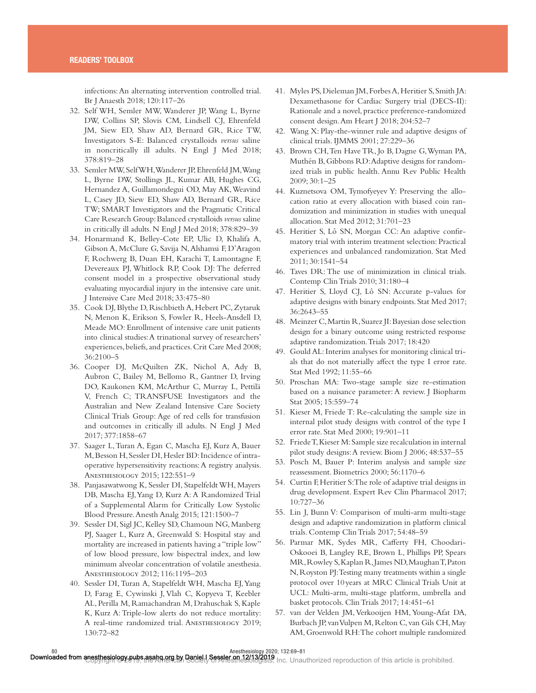infections: An alternating intervention controlled trial. Br J Anaesth 2018; 120:117–26

- 32. Self WH, Semler MW, Wanderer JP, Wang L, Byrne DW, Collins SP, Slovis CM, Lindsell CJ, Ehrenfeld JM, Siew ED, Shaw AD, Bernard GR, Rice TW, Investigators S-E: Balanced crystalloids *versus* saline in noncritically ill adults. N Engl J Med 2018; 378:819–28
- 33. Semler MW, Self WH, Wanderer JP, Ehrenfeld JM, Wang L, Byrne DW, Stollings JL, Kumar AB, Hughes CG, Hernandez A, Guillamondegui OD, May AK, Weavind L, Casey JD, Siew ED, Shaw AD, Bernard GR, Rice TW; SMART Investigators and the Pragmatic Critical Care Research Group: Balanced crystalloids *versus* saline in critically ill adults. N Engl J Med 2018; 378:829–39
- 34. Honarmand K, Belley-Cote EP, Ulic D, Khalifa A, Gibson A, McClure G, Savija N, Alshamsi F, D'Aragon F, Rochwerg B, Duan EH, Karachi T, Lamontagne F, Devereaux PJ, Whitlock RP, Cook DJ: The deferred consent model in a prospective observational study evaluating myocardial injury in the intensive care unit. J Intensive Care Med 2018; 33:475–80
- 35. Cook DJ, Blythe D, Rischbieth A, Hebert PC, Zytaruk N, Menon K, Erikson S, Fowler R, Heels-Ansdell D, Meade MO: Enrollment of intensive care unit patients into clinical studies: A trinational survey of researchers' experiences, beliefs, and practices. Crit Care Med 2008; 36:2100–5
- 36. Cooper DJ, McQuilten ZK, Nichol A, Ady B, Aubron C, Bailey M, Bellomo R, Gantner D, Irving DO, Kaukonen KM, McArthur C, Murray L, Pettilä V, French C; TRANSFUSE Investigators and the Australian and New Zealand Intensive Care Society Clinical Trials Group: Age of red cells for transfusion and outcomes in critically ill adults. N Engl J Med 2017; 377:1858–67
- 37. Saager L, Turan A, Egan C, Mascha EJ, Kurz A, Bauer M, Besson H, Sessler DI, Hesler BD: Incidence of intraoperative hypersensitivity reactions: A registry analysis. Anesthesiology 2015; 122:551–9
- 38. Panjasawatwong K, Sessler DI, Stapelfeldt WH, Mayers DB, Mascha EJ, Yang D, Kurz A: A Randomized Trial of a Supplemental Alarm for Critically Low Systolic Blood Pressure. Anesth Analg 2015; 121:1500–7
- 39. Sessler DI, Sigl JC, Kelley SD, Chamoun NG, Manberg PJ, Saager L, Kurz A, Greenwald S: Hospital stay and mortality are increased in patients having a "triple low" of low blood pressure, low bispectral index, and low minimum alveolar concentration of volatile anesthesia. Anesthesiology 2012; 116:1195–203
- 40. Sessler DI, Turan A, Stapelfeldt WH, Mascha EJ, Yang D, Farag E, Cywinski J, Vlah C, Kopyeva T, Keebler AL, Perilla M, Ramachandran M, Drahuschak S, Kaple K, Kurz A: Triple-low alerts do not reduce mortality: A real-time randomized trial. Anesthesiology 2019; 130:72–82
- 41. Myles PS, Dieleman JM, Forbes A, Heritier S, Smith JA: Dexamethasone for Cardiac Surgery trial (DECS-II): Rationale and a novel, practice preference-randomized consent design. Am Heart J 2018; 204:52–7
- 42. Wang X: Play-the-winner rule and adaptive designs of clinical trials. IJMMS 2001; 27:229–36
- 43. Brown CH, Ten Have TR, Jo B, Dagne G, Wyman PA, Muthén B, Gibbons RD: Adaptive designs for randomized trials in public health. Annu Rev Public Health 2009; 30:1–25
- 44. Kuznetsova OM, Tymofyeyev Y: Preserving the allocation ratio at every allocation with biased coin randomization and minimization in studies with unequal allocation. Stat Med 2012; 31:701–23
- 45. Heritier S, Lô SN, Morgan CC: An adaptive confirmatory trial with interim treatment selection: Practical experiences and unbalanced randomization. Stat Med 2011; 30:1541–54
- 46. Taves DR: The use of minimization in clinical trials. Contemp Clin Trials 2010; 31:180–4
- 47. Heritier S, Lloyd CJ, Lô SN: Accurate p-values for adaptive designs with binary endpoints. Stat Med 2017; 36:2643–55
- 48. Meinzer C, Martin R, Suarez JI: Bayesian dose selection design for a binary outcome using restricted response adaptive randomization. Trials 2017; 18:420
- 49. Gould AL: Interim analyses for monitoring clinical trials that do not materially affect the type I error rate. Stat Med 1992; 11:55–66
- 50. Proschan MA: Two-stage sample size re-estimation based on a nuisance parameter: A review. J Biopharm Stat 2005; 15:559–74
- 51. Kieser M, Friede T: Re-calculating the sample size in internal pilot study designs with control of the type I error rate. Stat Med 2000; 19:901–11
- 52. Friede T, Kieser M: Sample size recalculation in internal pilot study designs: A review. Biom J 2006; 48:537–55
- 53. Posch M, Bauer P: Interim analysis and sample size reassessment. Biometrics 2000; 56:1170–6
- 54. Curtin F, Heritier S: The role of adaptive trial designs in drug development. Expert Rev Clin Pharmacol 2017; 10:727–36
- 55. Lin J, Bunn V: Comparison of multi-arm multi-stage design and adaptive randomization in platform clinical trials. Contemp Clin Trials 2017; 54:48–59
- 56. Parmar MK, Sydes MR, Cafferty FH, Choodari-Oskooei B, Langley RE, Brown L, Phillips PP, Spears MR, Rowley S, Kaplan R, James ND, Maughan T, Paton N, Royston PJ: Testing many treatments within a single protocol over 10 years at MRC Clinical Trials Unit at UCL: Multi-arm, multi-stage platform, umbrella and basket protocols. Clin Trials 2017; 14:451–61
- 57. van der Velden JM, Verkooijen HM, Young-Afat DA, Burbach JP, van Vulpen M, Relton C, van Gils CH, May AM, Groenwold RH: The cohort multiple randomized